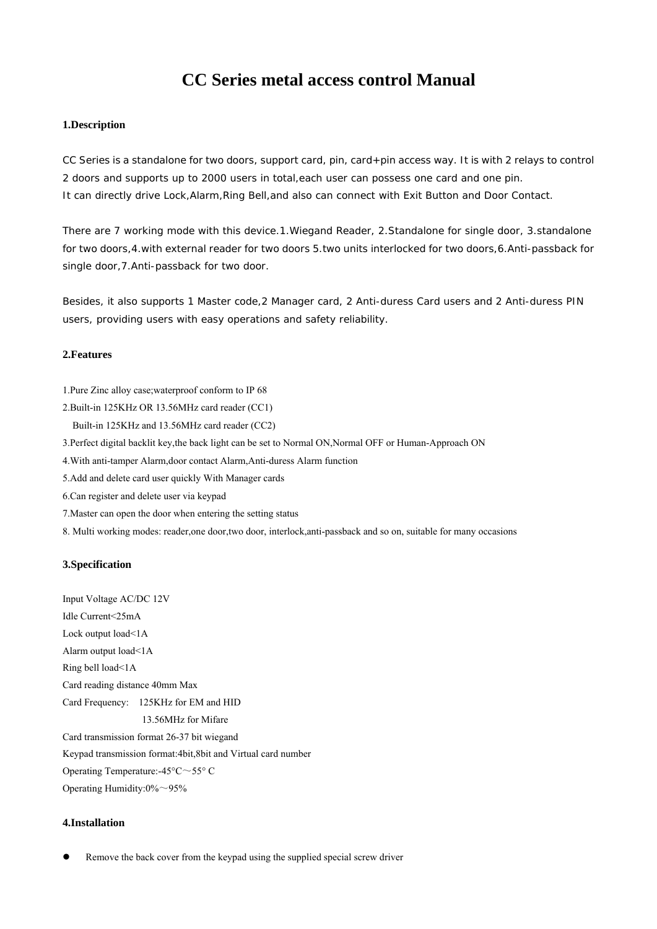# **CC Series metal access control Manual**

# **1.Description**

CC Series is a standalone for two doors, support card, pin, card+pin access way. It is with 2 relays to control 2 doors and supports up to 2000 users in total,each user can possess one card and one pin. It can directly drive Lock,Alarm,Ring Bell,and also can connect with Exit Button and Door Contact.

There are 7 working mode with this device.1.Wiegand Reader, 2.Standalone for single door, 3.standalone for two doors,4.with external reader for two doors 5.two units interlocked for two doors,6.Anti-passback for single door,7.Anti-passback for two door.

Besides, it also supports 1 Master code,2 Manager card, 2 Anti-duress Card users and 2 Anti-duress PIN users, providing users with easy operations and safety reliability.

## **2.Features**

- 1.Pure Zinc alloy case;waterproof conform to IP 68
- 2.Built-in 125KHz OR 13.56MHz card reader (CC1)
- Built-in 125KHz and 13.56MHz card reader (CC2)
- 3.Perfect digital backlit key,the back light can be set to Normal ON,Normal OFF or Human-Approach ON
- 4.With anti-tamper Alarm,door contact Alarm,Anti-duress Alarm function
- 5.Add and delete card user quickly With Manager cards
- 6.Can register and delete user via keypad
- 7.Master can open the door when entering the setting status
- 8. Multi working modes: reader,one door,two door, interlock,anti-passback and so on, suitable for many occasions

## **3.Specification**

Input Voltage AC/DC 12V Idle Current<25mA Lock output load<1A Alarm output load<1A Ring bell load<1A Card reading distance 40mm Max Card Frequency: 125KHz for EM and HID 13.56MHz for Mifare Card transmission format 26-37 bit wiegand Keypad transmission format:4bit,8bit and Virtual card number Operating Temperature:-45°C~55° C Operating Humidity:0%~95%

## **4.Installation**

Remove the back cover from the keypad using the supplied special screw driver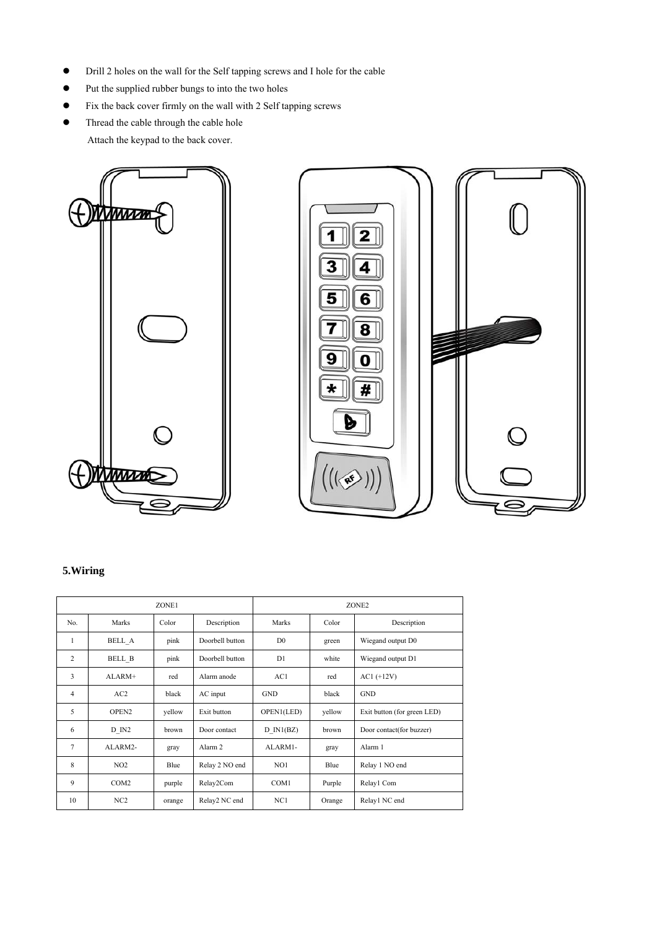- Drill 2 holes on the wall for the Self tapping screws and I hole for the cable
- Put the supplied rubber bungs to into the two holes
- Fix the back cover firmly on the wall with 2 Self tapping screws
- Thread the cable through the cable hole Attach the keypad to the back cover.





# **5.Wiring**

|                |                   | ZONE1  |                    |                |        | ZONE <sub>2</sub>           |
|----------------|-------------------|--------|--------------------|----------------|--------|-----------------------------|
| No.            | Marks             | Color  | Description        | Marks          | Color  | Description                 |
| $\mathbf{1}$   | BELL A            | pink   | Doorbell button    | D <sub>0</sub> | green  | Wiegand output D0           |
| 2              | BELL B            | pink   | Doorbell button    | D1             | white  | Wiegand output D1           |
| 3              | ALARM+            | red    | Alarm anode        | AC1            | red    | $AC1 (+12V)$                |
| $\overline{4}$ | AC2               | black  | AC input           | <b>GND</b>     | black  | <b>GND</b>                  |
| 5              | OPEN <sub>2</sub> | vellow | Exit button        | OPEN1(LED)     | yellow | Exit button (for green LED) |
| 6              | D IN2             | brown  | Door contact       | $D$ IN1(BZ)    | brown  | Door contact(for buzzer)    |
| 7              | ALARM2-           | gray   | Alarm <sub>2</sub> | ALARM1-        | gray   | Alarm 1                     |
| 8              | NO2               | Blue   | Relay 2 NO end     | NO1            | Blue   | Relay 1 NO end              |
| 9              | COM <sub>2</sub>  | purple | Relay2Com          | COM1           | Purple | Relay1 Com                  |
| 10             | NC <sub>2</sub>   | orange | Relay2 NC end      | NC1            | Orange | Relay1 NC end               |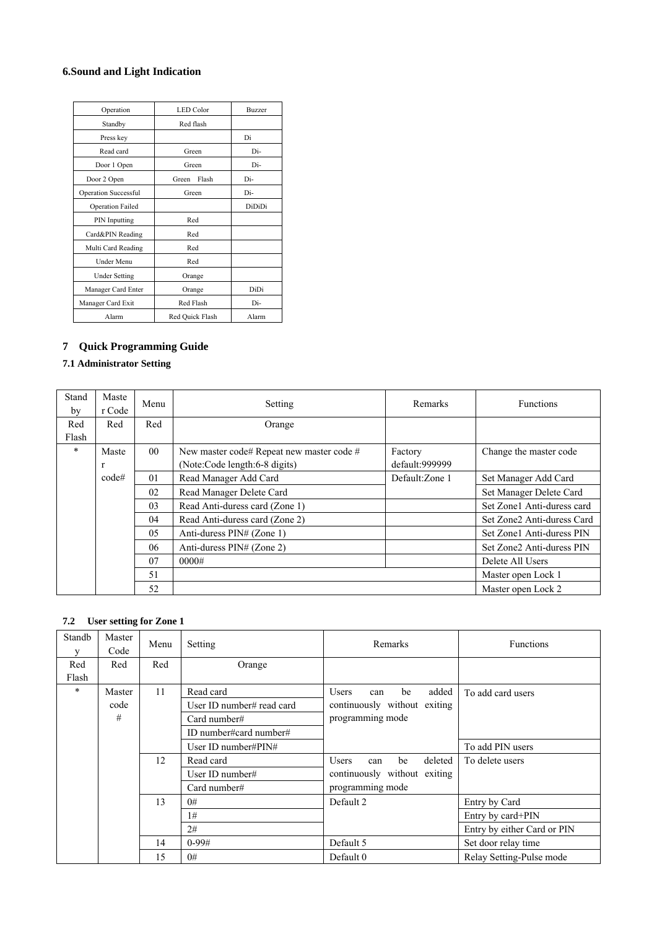# **6.Sound and Light Indication**

| Operation                   | <b>LED</b> Color | <b>Buzzer</b> |
|-----------------------------|------------------|---------------|
| Standby                     | Red flash        |               |
| Press key                   |                  | Di            |
| Read card                   | Green            | Di-           |
| Door 1 Open                 | Green            | Di-           |
| Door 2 Open                 | Flash<br>Green   | Di-           |
| <b>Operation Successful</b> | Green            | Di-           |
| <b>Operation Failed</b>     |                  | DiDiDi        |
| PIN Inputting               | Red              |               |
| Card&PIN Reading            | Red              |               |
| Multi Card Reading          | Red              |               |
| Under Menu                  | Red              |               |
| <b>Under Setting</b>        | Orange           |               |
| Manager Card Enter          | Orange           | DiDi          |
| Manager Card Exit           | Red Flash        | Di-           |
| Alarm                       | Red Quick Flash  | Alarm         |

# **7 Quick Programming Guide**

# **7.1 Administrator Setting**

| Stand<br>by | Maste<br>r Code | Menu            | Setting                                   | Remarks         | <b>Functions</b>           |
|-------------|-----------------|-----------------|-------------------------------------------|-----------------|----------------------------|
| Red         | Red             | Red             | Orange                                    |                 |                            |
| Flash       |                 |                 |                                           |                 |                            |
| $\ast$      | Maste           | 00 <sup>1</sup> | New master code# Repeat new master code # | Factory         | Change the master code     |
|             | $\mathbf{r}$    |                 | (Note:Code length:6-8 digits)             | default:999999  |                            |
|             | code#           | 01              | Read Manager Add Card                     | Default: Zone 1 | Set Manager Add Card       |
|             |                 | 02              | Read Manager Delete Card                  |                 | Set Manager Delete Card    |
|             |                 | 03              | Read Anti-duress card (Zone 1)            |                 | Set Zone1 Anti-duress card |
|             |                 | 04              | Read Anti-duress card (Zone 2)            |                 | Set Zone2 Anti-duress Card |
|             |                 | 05              | Anti-duress PIN# (Zone 1)                 |                 | Set Zone1 Anti-duress PIN  |
|             |                 | 06              | Anti-duress $\text{PIN#}$ (Zone 2)        |                 | Set Zone2 Anti-duress PIN  |
|             |                 | 07              | 0000#                                     |                 | Delete All Users           |
|             |                 | 51              |                                           |                 | Master open Lock 1         |
|             |                 | 52              |                                           |                 | Master open Lock 2         |

# **7.2 User setting for Zone 1**

| Standb<br>V | Master<br>Code | Menu | Setting                       | Remarks                              | <b>Functions</b>            |
|-------------|----------------|------|-------------------------------|--------------------------------------|-----------------------------|
| Red         | Red            | Red  | Orange                        |                                      |                             |
| Flash       |                |      |                               |                                      |                             |
| $*$         | Master         | 11   | Read card                     | added<br>be<br><b>Users</b><br>can   | To add card users           |
|             | code           |      | User ID number# read card     | continuously without exiting         |                             |
|             | #              |      | Card number#                  | programming mode                     |                             |
|             |                |      | ID number#card number#        |                                      |                             |
|             |                |      | User ID number# $\text{PIN#}$ |                                      | To add PIN users            |
|             |                | 12   | Read card                     | deleted<br>be<br><b>Users</b><br>can | To delete users             |
|             |                |      | User ID number#               | continuously without exiting         |                             |
|             |                |      | Card number#                  | programming mode                     |                             |
|             |                | 13   | 0#                            | Default 2                            | Entry by Card               |
|             |                |      | 1#                            |                                      | Entry by card+PIN           |
|             |                |      | 2#                            |                                      | Entry by either Card or PIN |
|             |                | 14   | $0-99#$                       | Default 5                            | Set door relay time         |
|             |                | 15   | 0#                            | Default 0                            | Relay Setting-Pulse mode    |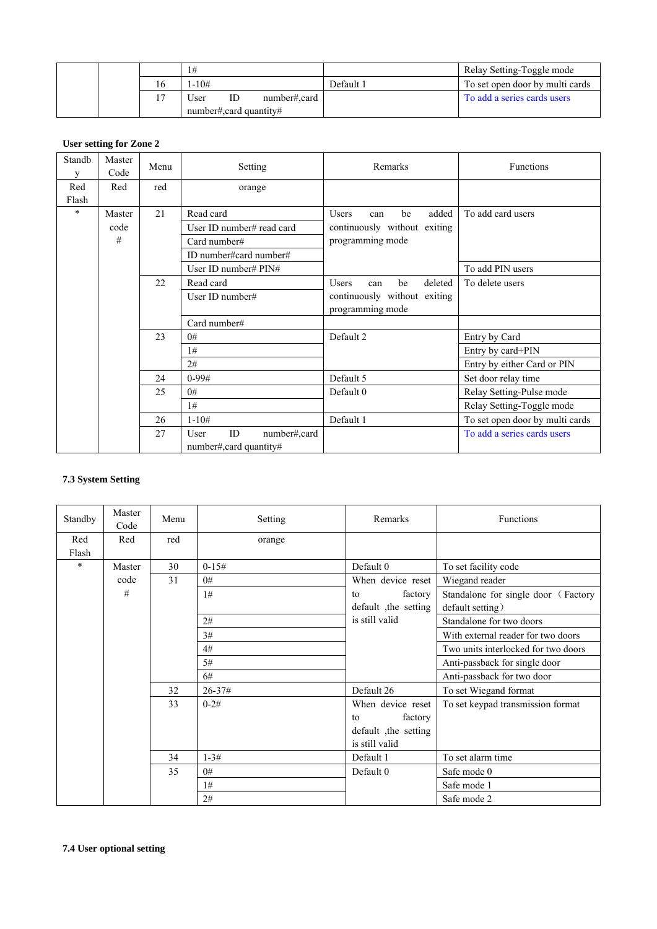|  |                          | 1#                      |    |              |           | Relay Setting-Toggle mode       |
|--|--------------------------|-------------------------|----|--------------|-----------|---------------------------------|
|  | 16                       | $-10#$                  |    |              | Default 1 | To set open door by multi cards |
|  | $\overline{\phantom{a}}$ | Jser                    | ID | number#.card |           | To add a series cards users     |
|  |                          | number#, card quantity# |    |              |           |                                 |

# **User setting for Zone 2**

| Standb<br>V  | Master<br>Code | Menu | Setting                                               | Remarks                              | Functions                       |
|--------------|----------------|------|-------------------------------------------------------|--------------------------------------|---------------------------------|
| Red<br>Flash | Red            | red  | orange                                                |                                      |                                 |
| $\ast$       | Master         | 21   | Read card                                             | be<br>added<br><b>Users</b><br>can   | To add card users               |
|              | code           |      | User ID number# read card                             | continuously without exiting         |                                 |
|              | #              |      | Card number#                                          | programming mode                     |                                 |
|              |                |      | ID number#card number#                                |                                      |                                 |
|              |                |      | User ID number# PIN#                                  |                                      | To add PIN users                |
|              |                | 22   | Read card                                             | <b>Users</b><br>be<br>deleted<br>can | To delete users                 |
|              |                |      | User ID number#                                       | continuously without exiting         |                                 |
|              |                |      |                                                       | programming mode                     |                                 |
|              |                |      | Card number#                                          |                                      |                                 |
|              |                | 23   | 0#                                                    | Default 2                            | Entry by Card                   |
|              |                |      | 1#                                                    |                                      | Entry by card+PIN               |
|              |                |      | 2#                                                    |                                      | Entry by either Card or PIN     |
|              |                | 24   | $0-99#$                                               | Default 5                            | Set door relay time             |
|              |                | 25   | 0#                                                    | Default 0                            | Relay Setting-Pulse mode        |
|              |                |      | 1#                                                    |                                      | Relay Setting-Toggle mode       |
|              |                | 26   | $1 - 10#$                                             | Default 1                            | To set open door by multi cards |
|              |                | 27   | number#,card<br>ID<br>User<br>number#, card quantity# |                                      | To add a series cards users     |

# **7.3 System Setting**

| Standby      | Master<br>Code | Menu | Setting      | Remarks               | <b>Functions</b>                    |
|--------------|----------------|------|--------------|-----------------------|-------------------------------------|
| Red<br>Flash | Red            | red  | orange       |                       |                                     |
| $\ast$       | Master         | 30   | $0 - 15#$    | Default 0             | To set facility code                |
|              | code           | 31   | 0#           | When device reset     | Wiegand reader                      |
|              | #              |      | 1#           | factory<br>to         | Standalone for single door (Factory |
|              |                |      |              | default , the setting | default setting)                    |
|              |                |      | 2#           | is still valid        | Standalone for two doors            |
|              |                |      | 3#           |                       | With external reader for two doors  |
|              |                |      | 4#           |                       | Two units interlocked for two doors |
|              |                |      | 5#           |                       | Anti-passback for single door       |
|              |                |      | 6#           |                       | Anti-passback for two door          |
|              |                | 32   | $26 - 37 \#$ | Default 26            | To set Wiegand format               |
|              |                | 33   | $0 - 2#$     | When device reset     | To set keypad transmission format   |
|              |                |      |              | factory<br>to         |                                     |
|              |                |      |              | default the setting   |                                     |
|              |                |      |              | is still valid        |                                     |
|              |                | 34   | $1 - 3#$     | Default 1             | To set alarm time                   |
|              |                | 35   | 0#           | Default 0             | Safe mode 0                         |
|              |                |      | 1#           |                       | Safe mode 1                         |
|              |                |      | 2#           |                       | Safe mode 2                         |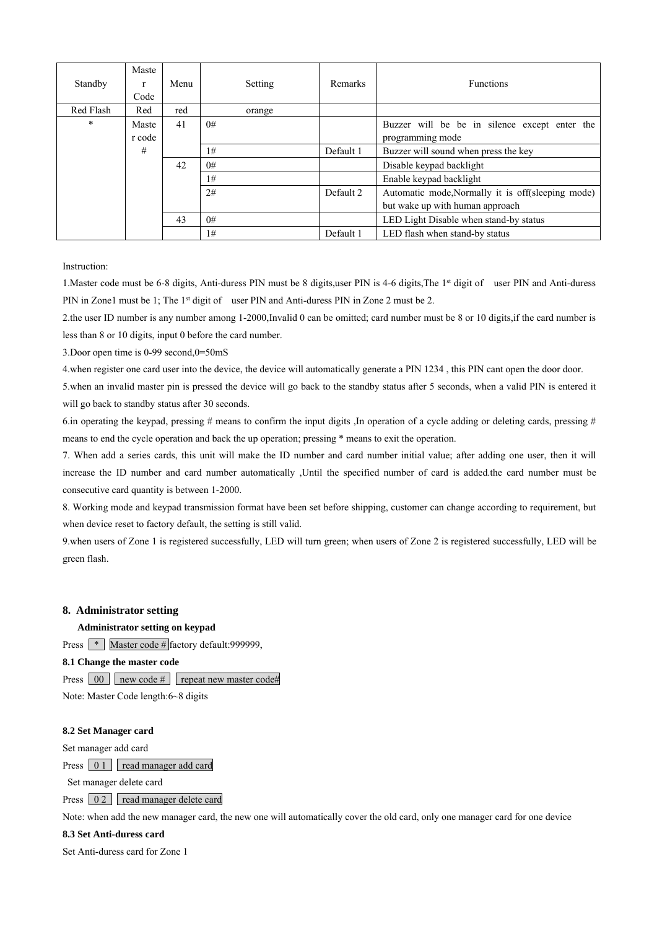| Standby   | Maste<br>Code | Menu | Setting | Remarks   | <b>Functions</b>                                  |
|-----------|---------------|------|---------|-----------|---------------------------------------------------|
| Red Flash | Red           | red  | orange  |           |                                                   |
| $\ast$    | Maste         | 41   | 0#      |           | Buzzer will be be in silence except enter the     |
|           | r code        |      |         |           | programming mode                                  |
|           | #             |      | 1#      | Default 1 | Buzzer will sound when press the key              |
|           |               | 42   | 0#      |           | Disable keypad backlight                          |
|           |               |      | 1#      |           | Enable keypad backlight                           |
|           |               |      | 2#      | Default 2 | Automatic mode, Normally it is off(sleeping mode) |
|           |               |      |         |           | but wake up with human approach                   |
|           |               | 43   | 0#      |           | LED Light Disable when stand-by status            |
|           |               |      | 1#      | Default 1 | LED flash when stand-by status                    |

Instruction:

1.Master code must be 6-8 digits, Anti-duress PIN must be 8 digits,user PIN is 4-6 digits,The 1st digit of user PIN and Anti-duress PIN in Zone1 must be 1; The 1<sup>st</sup> digit of user PIN and Anti-duress PIN in Zone 2 must be 2.

2.the user ID number is any number among 1-2000,Invalid 0 can be omitted; card number must be 8 or 10 digits,if the card number is less than 8 or 10 digits, input 0 before the card number.

3.Door open time is 0-99 second,0=50mS

4.when register one card user into the device, the device will automatically generate a PIN 1234 , this PIN cant open the door door.

5.when an invalid master pin is pressed the device will go back to the standby status after 5 seconds, when a valid PIN is entered it will go back to standby status after 30 seconds.

6. In operating the keypad, pressing  $\#$  means to confirm the input digits . In operation of a cycle adding or deleting cards, pressing  $\#$ means to end the cycle operation and back the up operation; pressing \* means to exit the operation.

7. When add a series cards, this unit will make the ID number and card number initial value; after adding one user, then it will increase the ID number and card number automatically ,Until the specified number of card is added.the card number must be consecutive card quantity is between 1-2000.

8. Working mode and keypad transmission format have been set before shipping, customer can change according to requirement, but when device reset to factory default, the setting is still valid.

9.when users of Zone 1 is registered successfully, LED will turn green; when users of Zone 2 is registered successfully, LED will be green flash.

## **8. Administrator setting**

**Administrator setting on keypad**

Press **\*** Master code # factory default:999999,

**8.1 Change the master code**

Press  $\boxed{00}$  new code # repeat new master code#

Note: Master Code length:6~8 digits

### **8.2 Set Manager card**

Set manager add card

Press 0 1 read manager add card

Set manager delete card

Press 0 2 read manager delete card

Note: when add the new manager card, the new one will automatically cover the old card, only one manager card for one device

**8.3 Set Anti-duress card**

Set Anti-duress card for Zone 1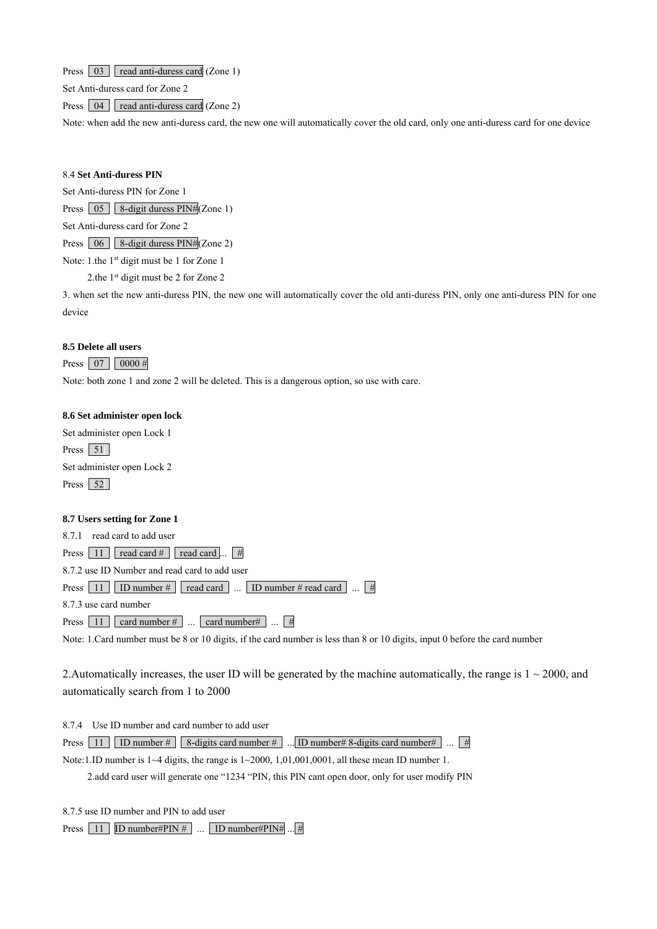Press 03 read anti-duress card (Zone 1)

Set Anti-duress card for Zone 2

Press  $\boxed{04}$  read anti-duress card (Zone 2)

Note: when add the new anti-duress card, the new one will automatically cover the old card, only one anti-duress card for one device

### 8.4 **Set Anti-duress PIN**

Set Anti-duress PIN for Zone 1

Press 05 8-digit duress PIN#(Zone 1)

Set Anti-duress card for Zone 2

Press 06 8-digit duress PIN#(Zone 2)

Note: 1.the 1<sup>st</sup> digit must be 1 for Zone 1

2.the 1<sup>st</sup> digit must be 2 for Zone 2

3. when set the new anti-duress PIN, the new one will automatically cover the old anti-duress PIN, only one anti-duress PIN for one device

#### **8.5 Delete all users**

Press  $07 \ 0000 \#$ 

Note: both zone 1 and zone 2 will be deleted. This is a dangerous option, so use with care.

### **8.6 Set administer open lock**

Set administer open Lock 1 Press  $51$ Set administer open Lock 2 Press 52

#### **8.7 Users setting for Zone 1**

8.7.1 read card to add user Press  $11$  read card # read card ...  $\#$ 8.7.2 use ID Number and read card to add user Press  $\boxed{11}$  ID number # read card ... ID number # read card ...  $\boxed{\#}$ 8.7.3 use card number Press  $\boxed{11}$  card number  $\#$  ... card number  $\#$  ...  $\boxed{\#}$ 

Note: 1.Card number must be 8 or 10 digits, if the card number is less than 8 or 10 digits, input 0 before the card number

2. Automatically increases, the user ID will be generated by the machine automatically, the range is  $1 \sim 2000$ , and automatically search from 1 to 2000

8.7.4 Use ID number and card number to add user

Press 11 ID number #  $8$ -digits card number # ... ID number # 8-digits card number # ...  $\boxed{\#}$ 

Note:1.ID number is 1~4 digits, the range is 1~2000, 1,01,001,0001, all these mean ID number 1.

2.add card user will generate one "1234 "PIN, this PIN cant open door, only for user modify PIN

8.7.5 use ID number and PIN to add user

Press  $\boxed{11}$  ID number#PIN # ... ID number#PIN# ... #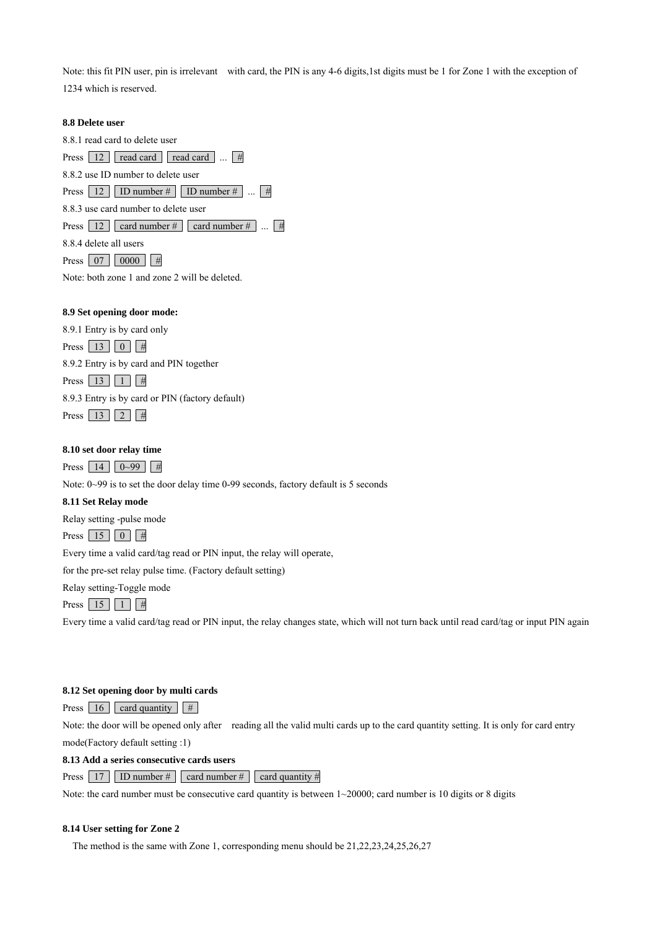Note: this fit PIN user, pin is irrelevant with card, the PIN is any 4-6 digits,1st digits must be 1 for Zone 1 with the exception of 1234 which is reserved.

### **8.8 Delete user**

8.8.1 read card to delete user Press  $12$  read card read card ... # 8.8.2 use ID number to delete user Press  $\boxed{12}$  ID number # ID number # ...  $\boxed{\#}$ 8.8.3 use card number to delete user Press  $\boxed{12}$  card number # card number # ...  $\boxed{4}$ 8.8.4 delete all users Press  $07 \ 0000 \ #$ Note: both zone 1 and zone 2 will be deleted.

# **8.9 Set opening door mode:**

8.9.1 Entry is by card only

Press  $\boxed{13}$   $\boxed{0}$  #

8.9.2 Entry is by card and PIN together

Press  $13 \mid 1 \mid 1$ 8.9.3 Entry is by card or PIN (factory default)

Press  $13 \mid 2 \mid 4$ 

### **8.10 set door relay time**

Press 14  $0~99$  #

Note: 0~99 is to set the door delay time 0-99 seconds, factory default is 5 seconds

### **8.11 Set Relay mode**

Relay setting -pulse mode

Press  $15 \mid 0 \mid #$ 

Every time a valid card/tag read or PIN input, the relay will operate,

for the pre-set relay pulse time. (Factory default setting)

Relay setting-Toggle mode

Press  $15 \mid 1 \mid #$ 

Every time a valid card/tag read or PIN input, the relay changes state, which will not turn back until read card/tag or input PIN again

### **8.12 Set opening door by multi cards**

Press  $\boxed{16}$  card quantity  $\boxed{\#}$ 

Note: the door will be opened only after reading all the valid multi cards up to the card quantity setting. It is only for card entry mode(Factory default setting :1)

**8.13 Add a series consecutive cards users**

Press 17 ID number  $\#$  card number  $\#$  card quantity  $\#$ 

Note: the card number must be consecutive card quantity is between  $1 \sim 20000$ ; card number is 10 digits or 8 digits

### **8.14 User setting for Zone 2**

The method is the same with Zone 1, corresponding menu should be 21,22,23,24,25,26,27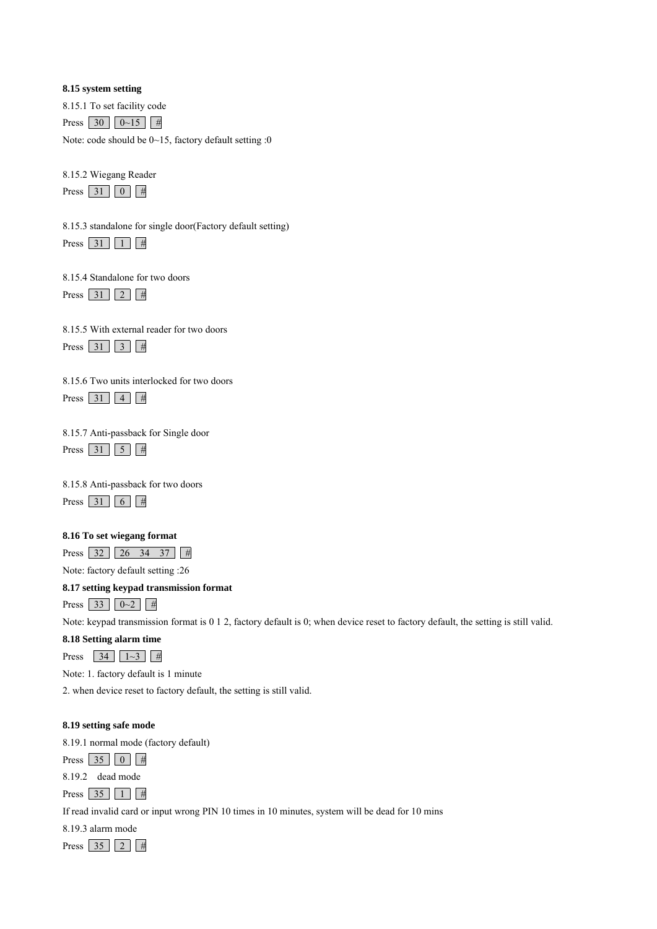### **8.15 system setting**

8.15.1 To set facility code

Press  $30 \ 0 \sim 15 \ #$ 

Note: code should be 0~15, factory default setting :0

8.15.2 Wiegang Reader

Press  $31 \mid 0 \mid #$ 

8.15.3 standalone for single door(Factory default setting) Press  $31 \mid 1 \mid #$ 

8.15.4 Standalone for two doors

Press  $31$   $2 \mid #$ 

8.15.5 With external reader for two doors

Press  $31 \overline{)3 \overline{) \#}}$ 

| 8.15.6 Two units interlocked for two doors |  |
|--------------------------------------------|--|
|--------------------------------------------|--|

Press 31 4  $\#$ 

8.15.7 Anti-passback for Single door

Press  $31 \mid 5 \mid 4$ 

8.15.8 Anti-passback for two doors

Press 31 6  $\#$ 

# **8.16 To set wiegang format**

Press 32 26 34 37 #

Note: factory default setting :26

# **8.17 setting keypad transmission format**

Press 33  $0-2$  #

Note: keypad transmission format is 0 1 2, factory default is 0; when device reset to factory default, the setting is still valid.

# **8.18 Setting alarm time**

Press 34  $1~-3$  #

Note: 1. factory default is 1 minute

2. when device reset to factory default, the setting is still valid.

# **8.19 setting safe mode**

8.19.1 normal mode (factory default)

Press  $35 \mid 0 \mid #$ 

8.19.2 dead mode

Press  $35 \mid 1 \mid #$ 

If read invalid card or input wrong PIN 10 times in 10 minutes, system will be dead for 10 mins

8.19.3 alarm mode Press  $35 \mid 2 \mid 4$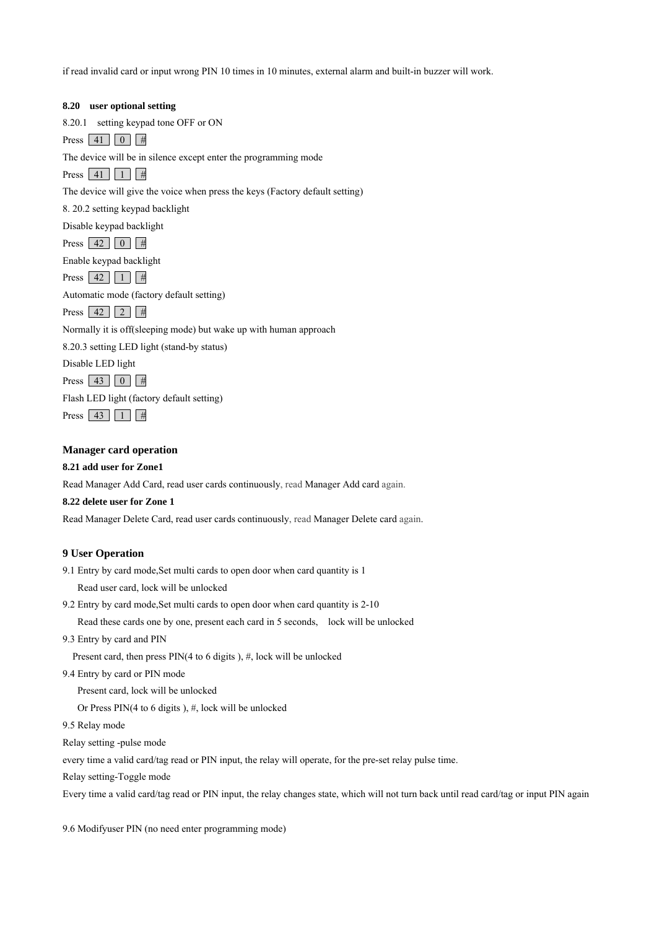if read invalid card or input wrong PIN 10 times in 10 minutes, external alarm and built-in buzzer will work.

| 8.20 user optional setting                                                   |
|------------------------------------------------------------------------------|
| setting keypad tone OFF or ON<br>8.20.1                                      |
| Press 41   0   #                                                             |
| The device will be in silence except enter the programming mode              |
| Press $41$   1<br>$\frac{1}{2}$                                              |
| The device will give the voice when press the keys (Factory default setting) |
| 8. 20.2 setting keypad backlight                                             |
| Disable keypad backlight                                                     |
| Press $\begin{array}{ c c c c c } \hline 42 & 0 \\ \hline \end{array}$<br>#  |
| Enable keypad backlight                                                      |
| Press $\vert 42 \vert \vert 1 \vert$<br>#                                    |
| Automatic mode (factory default setting)                                     |
| Press $ 42 $<br>2<br>#                                                       |
| Normally it is off(sleeping mode) but wake up with human approach            |
| 8.20.3 setting LED light (stand-by status)                                   |
| Disable LED light                                                            |
| Press $ 43 $<br>$\overline{0}$<br>#                                          |
| Flash LED light (factory default setting)                                    |
| Press  <br>43<br>#                                                           |

**Manager card operation**

### **8.21 add user for Zone1**

Read Manager Add Card, read user cards continuously, read Manager Add card again.

#### **8.22 delete user for Zone 1**

Read Manager Delete Card, read user cards continuously, read Manager Delete card again.

### **9 User Operation**

- 9.1 Entry by card mode,Set multi cards to open door when card quantity is 1 Read user card, lock will be unlocked
- 9.2 Entry by card mode,Set multi cards to open door when card quantity is 2-10
	- Read these cards one by one, present each card in 5 seconds, lock will be unlocked
- 9.3 Entry by card and PIN
	- Present card, then press PIN(4 to 6 digits ), #, lock will be unlocked
- 9.4 Entry by card or PIN mode

Present card, lock will be unlocked

Or Press PIN(4 to 6 digits),  $\#$ , lock will be unlocked

9.5 Relay mode

Relay setting -pulse mode

every time a valid card/tag read or PIN input, the relay will operate, for the pre-set relay pulse time.

Relay setting-Toggle mode

Every time a valid card/tag read or PIN input, the relay changes state, which will not turn back until read card/tag or input PIN again

9.6 Modifyuser PIN (no need enter programming mode)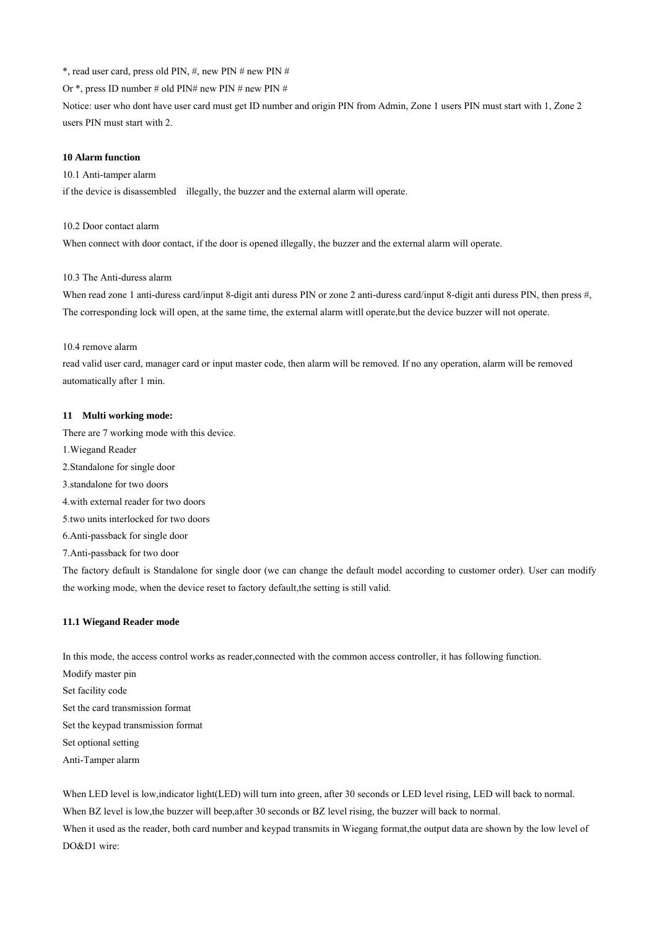\*, read user card, press old PIN,  $#$ , new PIN  $#$  new PIN  $#$ 

Or \*, press ID number # old PIN# new PIN # new PIN #

Notice: user who dont have user card must get ID number and origin PIN from Admin, Zone 1 users PIN must start with 1, Zone 2 users PIN must start with 2.

#### **10 Alarm function**

10.1 Anti-tamper alarm

if the device is disassembled illegally, the buzzer and the external alarm will operate.

10.2 Door contact alarm

When connect with door contact, if the door is opened illegally, the buzzer and the external alarm will operate.

### 10.3 The Anti-duress alarm

When read zone 1 anti-duress card/input 8-digit anti duress PIN or zone 2 anti-duress card/input 8-digit anti duress PIN, then press #, The corresponding lock will open, at the same time, the external alarm witll operate,but the device buzzer will not operate.

#### 10.4 remove alarm

read valid user card, manager card or input master code, then alarm will be removed. If no any operation, alarm will be removed automatically after 1 min.

#### **11 Multi working mode:**

There are 7 working mode with this device.

- 1.Wiegand Reader
- 2.Standalone for single door
- 3.standalone for two doors
- 4.with external reader for two doors
- 5.two units interlocked for two doors

6.Anti-passback for single door

7.Anti-passback for two door

The factory default is Standalone for single door (we can change the default model according to customer order). User can modify the working mode, when the device reset to factory default,the setting is still valid.

### **11.1 Wiegand Reader mode**

In this mode, the access control works as reader,connected with the common access controller, it has following function.

Modify master pin Set facility code Set the card transmission format Set the keypad transmission format Set optional setting Anti-Tamper alarm

When LED level is low,indicator light(LED) will turn into green, after 30 seconds or LED level rising, LED will back to normal. When BZ level is low, the buzzer will beep, after 30 seconds or BZ level rising, the buzzer will back to normal. When it used as the reader, both card number and keypad transmits in Wiegang format,the output data are shown by the low level of DO&D1 wire: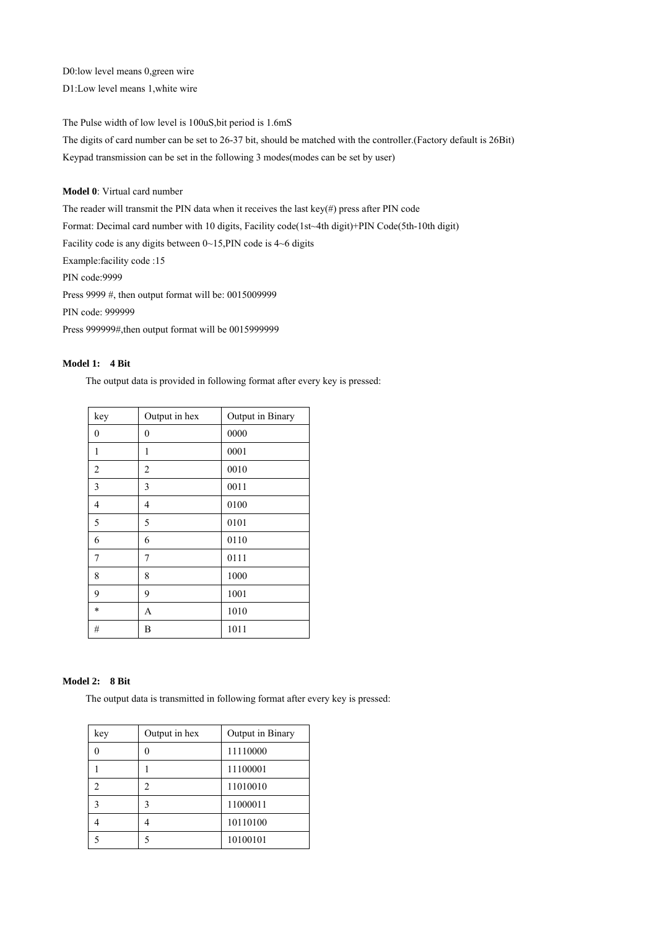D0:low level means 0,green wire

D1:Low level means 1,white wire

The Pulse width of low level is 100uS,bit period is 1.6mS

The digits of card number can be set to 26-37 bit, should be matched with the controller.(Factory default is 26Bit) Keypad transmission can be set in the following 3 modes(modes can be set by user)

## **Model 0**: Virtual card number

The reader will transmit the PIN data when it receives the last key(#) press after PIN code Format: Decimal card number with 10 digits, Facility code(1st~4th digit)+PIN Code(5th-10th digit) Facility code is any digits between 0~15,PIN code is 4~6 digits Example:facility code :15 PIN code:9999 Press 9999 #, then output format will be: 0015009999 PIN code: 999999 Press 999999#,then output format will be 0015999999

### **Model 1: 4 Bit**

The output data is provided in following format after every key is pressed:

| key            | Output in hex  | Output in Binary |
|----------------|----------------|------------------|
| $\mathbf{0}$   | $\mathbf{0}$   | 0000             |
| 1              | 1              | 0001             |
| $\overline{c}$ | $\overline{2}$ | 0010             |
| 3              | 3              | 0011             |
| 4              | 4              | 0100             |
| 5              | 5              | 0101             |
| 6              | 6              | 0110             |
| 7              | 7              | 0111             |
| 8              | 8              | 1000             |
| 9              | 9              | 1001             |
| $\star$        | A              | 1010             |
| #              | B              | 1011             |

### **Model 2: 8 Bit**

The output data is transmitted in following format after every key is pressed:

| key | Output in hex  | Output in Binary |
|-----|----------------|------------------|
|     |                | 11110000         |
|     |                | 11100001         |
|     | $\mathfrak{D}$ | 11010010         |
| 3   | 3              | 11000011         |
|     |                | 10110100         |
|     |                | 10100101         |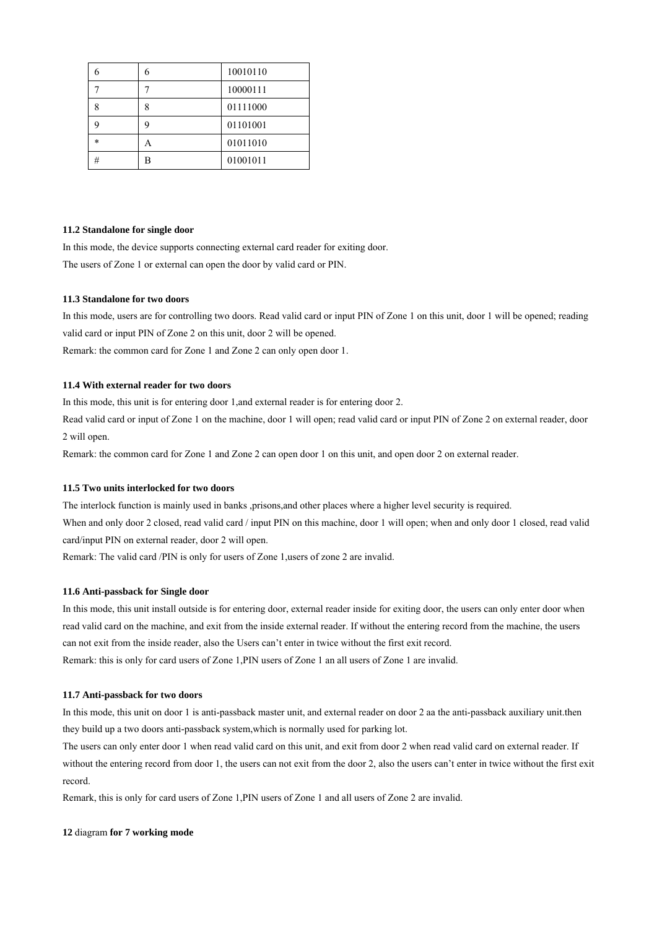|        | 6 | 10010110 |  |
|--------|---|----------|--|
|        |   | 10000111 |  |
| 8      | 8 | 01111000 |  |
|        | 9 | 01101001 |  |
| $\ast$ | А | 01011010 |  |
| #      | B | 01001011 |  |

#### **11.2 Standalone for single door**

In this mode, the device supports connecting external card reader for exiting door. The users of Zone 1 or external can open the door by valid card or PIN.

#### **11.3 Standalone for two doors**

In this mode, users are for controlling two doors. Read valid card or input PIN of Zone 1 on this unit, door 1 will be opened; reading valid card or input PIN of Zone 2 on this unit, door 2 will be opened. Remark: the common card for Zone 1 and Zone 2 can only open door 1.

## **11.4 With external reader for two doors**

In this mode, this unit is for entering door 1,and external reader is for entering door 2.

Read valid card or input of Zone 1 on the machine, door 1 will open; read valid card or input PIN of Zone 2 on external reader, door 2 will open.

Remark: the common card for Zone 1 and Zone 2 can open door 1 on this unit, and open door 2 on external reader.

### **11.5 Two units interlocked for two doors**

The interlock function is mainly used in banks ,prisons,and other places where a higher level security is required. When and only door 2 closed, read valid card / input PIN on this machine, door 1 will open; when and only door 1 closed, read valid

card/input PIN on external reader, door 2 will open.

Remark: The valid card /PIN is only for users of Zone 1,users of zone 2 are invalid.

### **11.6 Anti-passback for Single door**

In this mode, this unit install outside is for entering door, external reader inside for exiting door, the users can only enter door when read valid card on the machine, and exit from the inside external reader. If without the entering record from the machine, the users can not exit from the inside reader, also the Users can't enter in twice without the first exit record. Remark: this is only for card users of Zone 1,PIN users of Zone 1 an all users of Zone 1 are invalid.

### **11.7 Anti-passback for two doors**

In this mode, this unit on door 1 is anti-passback master unit, and external reader on door 2 aa the anti-passback auxiliary unit.then they build up a two doors anti-passback system,which is normally used for parking lot.

The users can only enter door 1 when read valid card on this unit, and exit from door 2 when read valid card on external reader. If without the entering record from door 1, the users can not exit from the door 2, also the users can't enter in twice without the first exit record.

Remark, this is only for card users of Zone 1,PIN users of Zone 1 and all users of Zone 2 are invalid.

#### **12** diagram **for 7 working mode**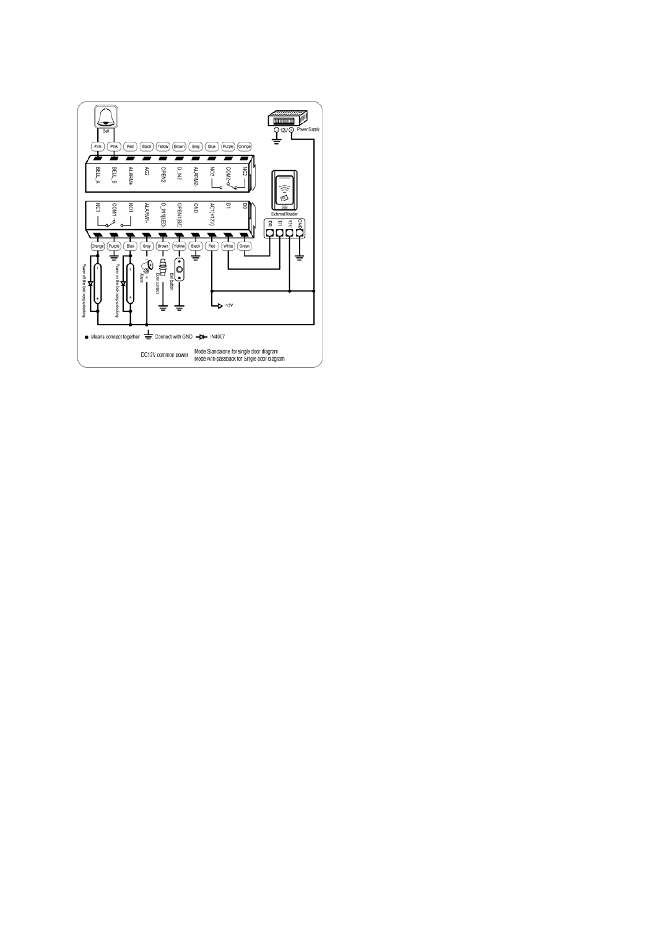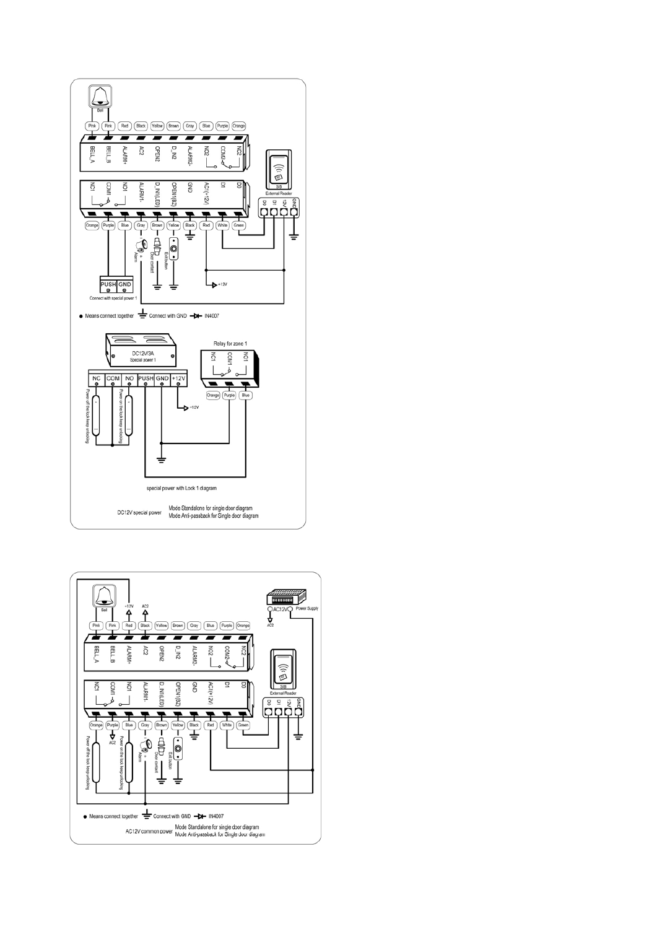

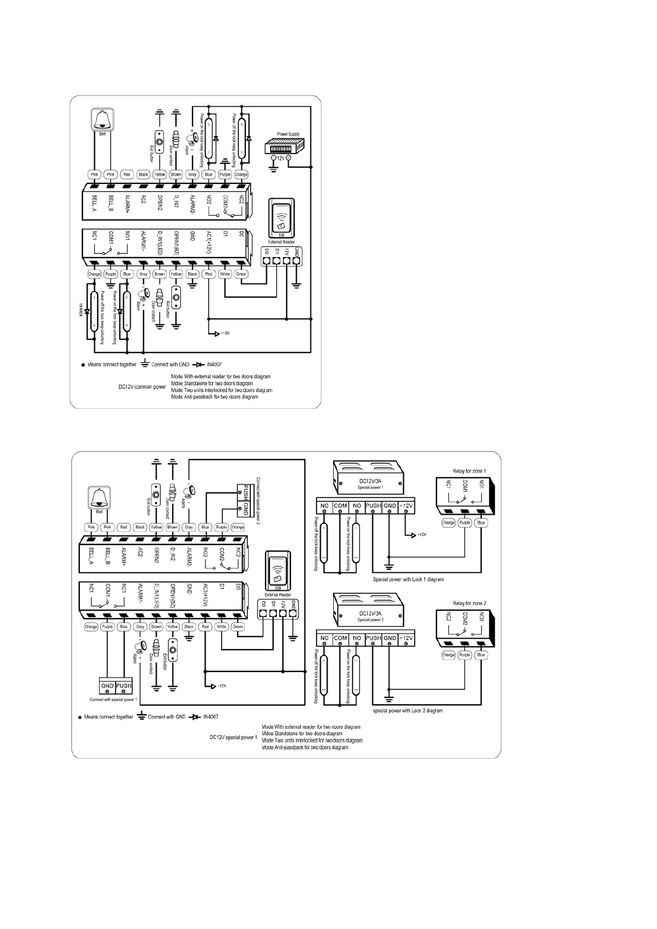

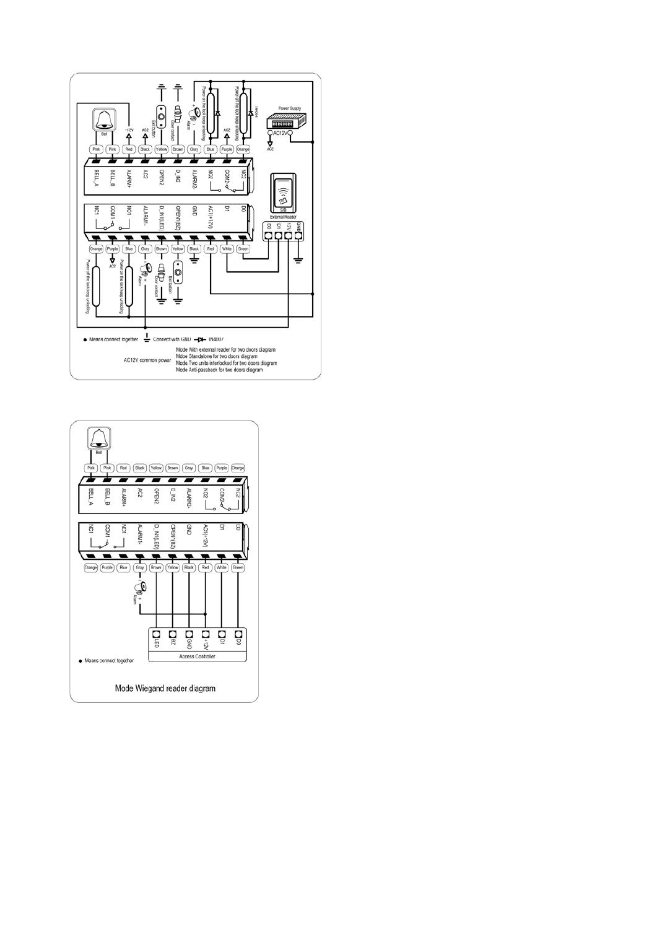

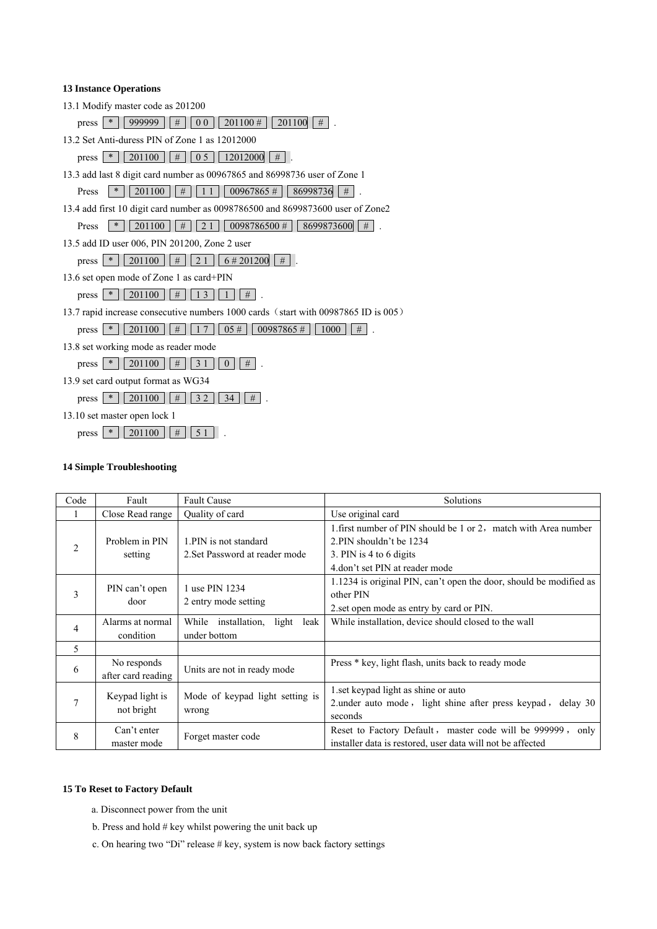## **13 Instance Operations**

13.1 Modify master code as 201200

press  $*$  9999999  $\pm$  00 201100  $\pm$  201100  $\pm$ .

13.2 Set Anti-duress PIN of Zone 1 as 12012000

press  $*$  201100  $#$  0 5 12012000  $#$ .

13.3 add last 8 digit card number as 00967865 and 86998736 user of Zone 1

Press  $*$  201100  $\pm$  11 00967865  $\pm$  86998736  $\pm$ 

13.4 add first 10 digit card number as 0098786500 and 8699873600 user of Zone2

- Press  $*$  201100  $\pm$  21 0098786500  $\pm$  8699873600  $\pm$
- 13.5 add ID user 006, PIN 201200, Zone 2 user

press  $*$  201100  $\#$  21 6# 201200 #.

13.6 set open mode of Zone 1 as card+PIN

press  $*$  201100 # 13 1 #

13.7 rapid increase consecutive numbers 1000 cards (start with 00987865 ID is 005)

press  $*$  201100  $\#$  17 05# 00987865 # 1000  $\#$ .

13.8 set working mode as reader mode

press  $*$  201100 # 31 0 # .

13.9 set card output format as WG34

press  $*$  201100 # 32 34 #

13.10 set master open lock 1

press  $*$  201100 # 51.

### **14 Simple Troubleshooting**

| Code           | Fault                             | <b>Fault Cause</b>                                       | Solutions                                                                                                                                              |  |
|----------------|-----------------------------------|----------------------------------------------------------|--------------------------------------------------------------------------------------------------------------------------------------------------------|--|
| -1             | Close Read range                  | Quality of card                                          | Use original card                                                                                                                                      |  |
| $\overline{2}$ | Problem in PIN<br>setting         | 1. PIN is not standard<br>2. Set Password at reader mode | 1 first number of PIN should be 1 or 2, match with Area number<br>2.PIN shouldn't be 1234<br>3. PIN is 4 to 6 digits<br>4.don't set PIN at reader mode |  |
| 3              | PIN can't open<br>door            | 1 use PIN 1234<br>2 entry mode setting                   | 1.1234 is original PIN, can't open the door, should be modified as<br>other PIN<br>2. set open mode as entry by card or PIN.                           |  |
| $\overline{4}$ | Alarms at normal<br>condition     | While installation,<br>light leak<br>under bottom        | While installation, device should closed to the wall                                                                                                   |  |
| 5              |                                   |                                                          |                                                                                                                                                        |  |
| 6              | No responds<br>after card reading | Units are not in ready mode                              | Press * key, light flash, units back to ready mode                                                                                                     |  |
| $\tau$         | Keypad light is<br>not bright     | Mode of keypad light setting is<br>wrong                 | 1.set keypad light as shine or auto<br>2. under auto mode, light shine after press keypad, delay 30<br>seconds                                         |  |
| 8              | Can't enter<br>master mode        | Forget master code                                       | Reset to Factory Default, master code will be 999999,<br>only<br>installer data is restored, user data will not be affected                            |  |

### **15 To Reset to Factory Default**

- a. Disconnect power from the unit
- b. Press and hold # key whilst powering the unit back up
- c. On hearing two "Di" release # key, system is now back factory settings